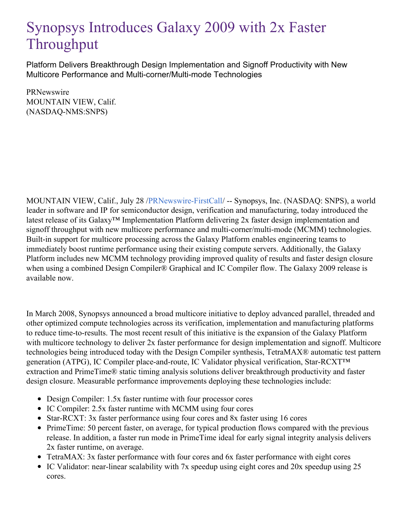## Synopsys Introduces Galaxy 2009 with 2x Faster Throughput

Platform Delivers Breakthrough Design Implementation and Signoff Productivity with New Multicore Performance and Multi-corner/Multi-mode Technologies

PRNewswire MOUNTAIN VIEW, Calif. (NASDAQ-NMS:SNPS)

MOUNTAIN VIEW, Calif., July 28 [/PRNewswire-FirstCall](http://www.prnewswire.com/)/ -- Synopsys, Inc. (NASDAQ: SNPS), a world leader in software and IP for semiconductor design, verification and manufacturing, today introduced the latest release of its Galaxy™ Implementation Platform delivering 2x faster design implementation and signoff throughput with new multicore performance and multi-corner/multi-mode (MCMM) technologies. Built-in support for multicore processing across the Galaxy Platform enables engineering teams to immediately boost runtime performance using their existing compute servers. Additionally, the Galaxy Platform includes new MCMM technology providing improved quality of results and faster design closure when using a combined Design Compiler® Graphical and IC Compiler flow. The Galaxy 2009 release is available now.

In March 2008, Synopsys announced a broad multicore initiative to deploy advanced parallel, threaded and other optimized compute technologies across its verification, implementation and manufacturing platforms to reduce time-to-results. The most recent result of this initiative is the expansion of the Galaxy Platform with multicore technology to deliver  $2x$  faster performance for design implementation and signoff. Multicore technologies being introduced today with the Design Compiler synthesis, TetraMAX® automatic test pattern generation (ATPG), IC Compiler place-and-route, IC Validator physical verification, Star-RCXT™ extraction and PrimeTime® static timing analysis solutions deliver breakthrough productivity and faster design closure. Measurable performance improvements deploying these technologies include:

- Design Compiler: 1.5x faster runtime with four processor cores
- IC Compiler: 2.5x faster runtime with MCMM using four cores
- Star-RCXT: 3x faster performance using four cores and 8x faster using 16 cores
- PrimeTime: 50 percent faster, on average, for typical production flows compared with the previous release. In addition, a faster run mode in PrimeTime ideal for early signal integrity analysis delivers 2x faster runtime, on average.
- TetraMAX: 3x faster performance with four cores and 6x faster performance with eight cores
- IC Validator: near-linear scalability with 7x speedup using eight cores and 20x speedup using 25 cores.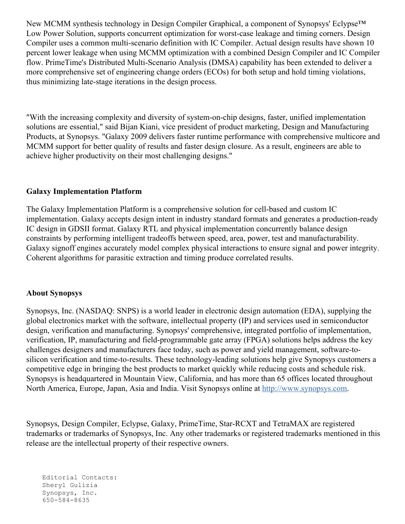New MCMM synthesis technology in Design Compiler Graphical, a component of Synopsys' Eclypse™ Low Power Solution, supports concurrent optimization for worst-case leakage and timing corners. Design Compiler uses a common multi-scenario definition with IC Compiler. Actual design results have shown 10 percent lower leakage when using MCMM optimization with a combined Design Compiler and IC Compiler flow. PrimeTime's Distributed Multi-Scenario Analysis (DMSA) capability has been extended to deliver a more comprehensive set of engineering change orders (ECOs) for both setup and hold timing violations, thus minimizing late-stage iterations in the design process.

"With the increasing complexity and diversity of system-on-chip designs, faster, unified implementation solutions are essential," said Bijan Kiani, vice president of product marketing, Design and Manufacturing Products, at Synopsys. "Galaxy 2009 delivers faster runtime performance with comprehensive multicore and MCMM support for better quality of results and faster design closure. As a result, engineers are able to achieve higher productivity on their most challenging designs."

## **Galaxy Implementation Platform**

The Galaxy Implementation Platform is a comprehensive solution for cell-based and custom IC implementation. Galaxy accepts design intent in industry standard formats and generates a production-ready IC design in GDSII format. Galaxy RTL and physical implementation concurrently balance design constraints by performing intelligent tradeoffs between speed, area, power, test and manufacturability. Galaxy signoff engines accurately model complex physical interactions to ensure signal and power integrity. Coherent algorithms for parasitic extraction and timing produce correlated results.

## **About Synopsys**

Synopsys, Inc. (NASDAQ: SNPS) is a world leader in electronic design automation (EDA), supplying the global electronics market with the software, intellectual property (IP) and services used in semiconductor design, verification and manufacturing. Synopsys' comprehensive, integrated portfolio of implementation, verification, IP, manufacturing and field-programmable gate array (FPGA) solutions helps address the key challenges designers and manufacturers face today, such as power and yield management, software-tosilicon verification and time-to-results. These technology-leading solutions help give Synopsys customers a competitive edge in bringing the best products to market quickly while reducing costs and schedule risk. Synopsys is headquartered in Mountain View, California, and has more than 65 offices located throughout North America, Europe, Japan, Asia and India. Visit Synopsys online at [http://www.synopsys.com](http://www.synopsys.com/).

Synopsys, Design Compiler, Eclypse, Galaxy, PrimeTime, Star-RCXT and TetraMAX are registered trademarks or trademarks of Synopsys, Inc. Any other trademarks or registered trademarks mentioned in this release are the intellectual property of their respective owners.

Editorial Contacts: Sheryl Gulizia Synopsys, Inc. 650-584-8635